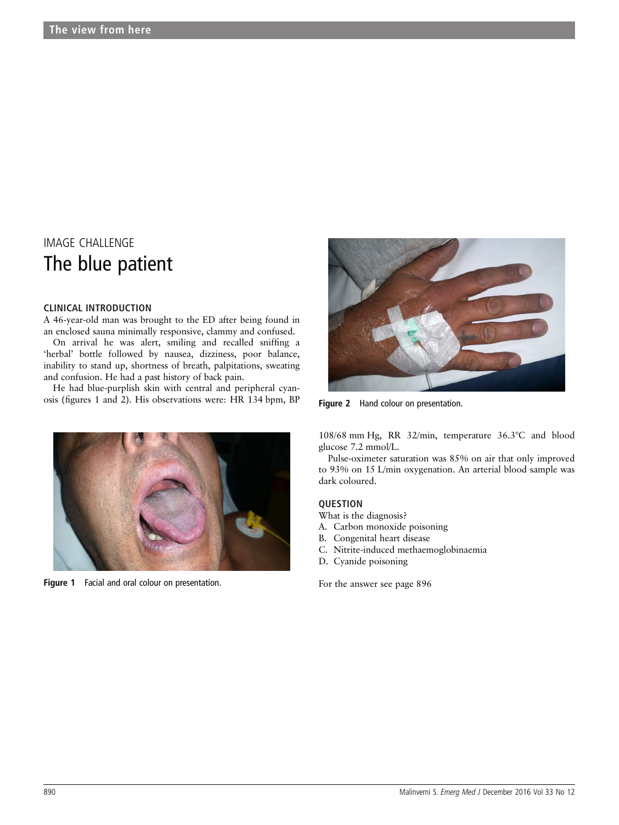# IMAGE CHALLENGE The blue patient

### CLINICAL INTRODUCTION

A 46-year-old man was brought to the ED after being found in an enclosed sauna minimally responsive, clammy and confused.

On arrival he was alert, smiling and recalled sniffing a 'herbal' bottle followed by nausea, dizziness, poor balance, inability to stand up, shortness of breath, palpitations, sweating and confusion. He had a past history of back pain.

He had blue-purplish skin with central and peripheral cyanosis (figures 1 and 2). His observations were: HR 134 bpm, BP



Figure 1 Facial and oral colour on presentation. The state of the answer see page 896



Figure 2 Hand colour on presentation.

108/68 mm Hg, RR 32/min, temperature 36.3°C and blood glucose 7.2 mmol/L.

Pulse-oximeter saturation was 85% on air that only improved to 93% on 15 L/min oxygenation. An arterial blood sample was dark coloured.

# **OUESTION**

What is the diagnosis?

- A. Carbon monoxide poisoning
- B. Congenital heart disease
- C. Nitrite-induced methaemoglobinaemia
- D. Cyanide poisoning